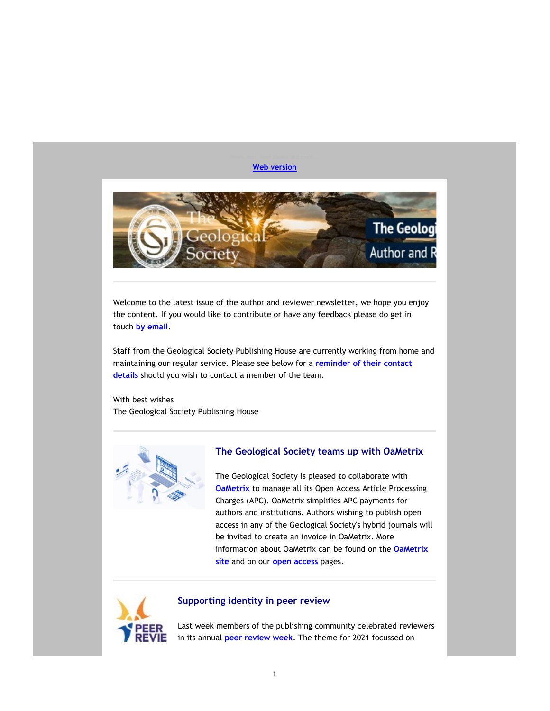### Web version



Welcome to the latest issue of the author and reviewer newsletter, we hope you enjoy the content. If you would like to contribute or have any feedback please do get in touch by email.

Staff from the Geological Society Publishing House are currently working from home and maintaining our regular service. Please see below for a reminder of their contact details should you wish to contact a member of the team.

With best wishes The Geological Society Publishing House



# The Geological Society teams up with OaMetrix

The Geological Society is pleased to collaborate with **OaMetrix** to manage all its Open Access Article Processing Charges (APC). OaMetrix simplifies APC payments for authors and institutions. Authors wishing to publish open access in any of the Geological Society's hybrid journals will be invited to create an invoice in OaMetrix. More information about OaMetrix can be found on the OaMetrix site and on our open access pages.



### Supporting identity in peer review

Last week members of the publishing community celebrated reviewers in its annual peer review week. The theme for 2021 focussed on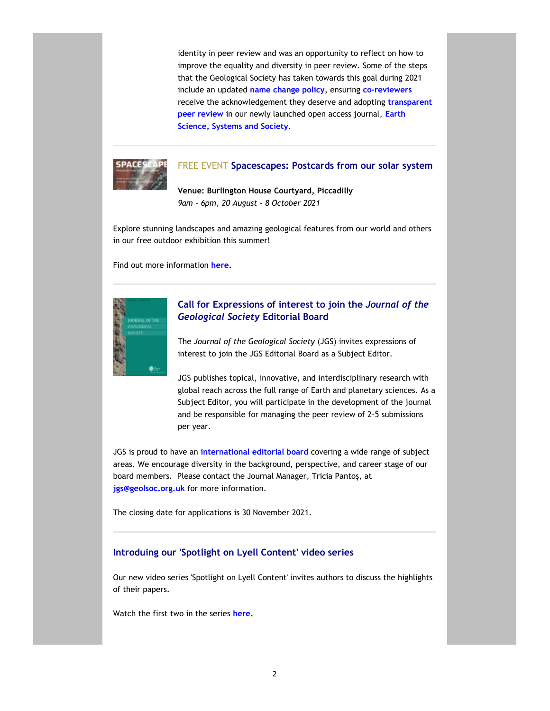identity in peer review and was an opportunity to reflect on how to improve the equality and diversity in peer review. Some of the steps that the Geological Society has taken towards this goal during 2021 include an updated name change policy, ensuring co-reviewers receive the acknowledgement they deserve and adopting transparent peer review in our newly launched open access journal, Earth Science, Systems and Society.



# FREE EVENT Spacescapes: Postcards from our solar system

Venue: Burlington House Courtyard, Piccadilly 9am - 6pm, 20 August - 8 October 2021

Explore stunning landscapes and amazing geological features from our world and others in our free outdoor exhibition this summer!

Find out more information here.



# Call for Expressions of interest to join the Journal of the Geological Society Editorial Board

The Journal of the Geological Society (JGS) invites expressions of interest to join the JGS Editorial Board as a Subject Editor.

JGS publishes topical, innovative, and interdisciplinary research with global reach across the full range of Earth and planetary sciences. As a Subject Editor, you will participate in the development of the journal and be responsible for managing the peer review of 2-5 submissions per year.

JGS is proud to have an international editorial board covering a wide range of subject areas. We encourage diversity in the background, perspective, and career stage of our board members. Please contact the Journal Manager, Tricia Pantoș, at jgs@geolsoc.org.uk for more information.

The closing date for applications is 30 November 2021.

### Introduing our 'Spotlight on Lyell Content' video series

Our new video series 'Spotlight on Lyell Content' invites authors to discuss the highlights of their papers.

Watch the first two in the series here.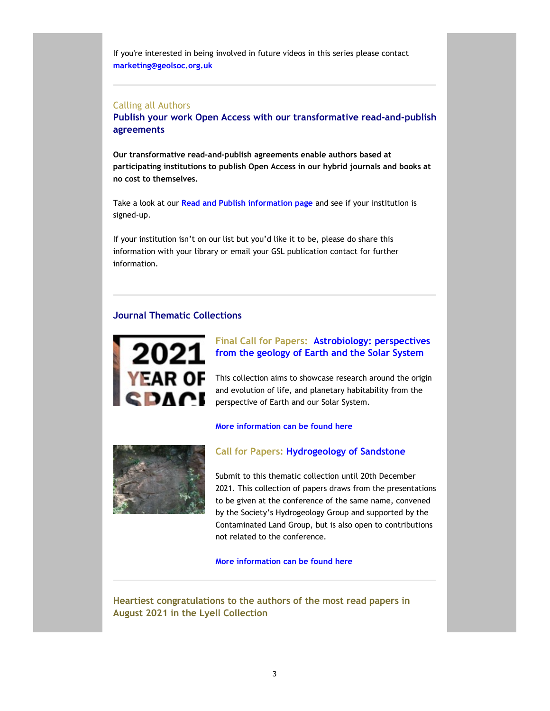If you're interested in being involved in future videos in this series please contact marketing@geolsoc.org.uk

## Calling all Authors

Publish your work Open Access with our transformative read-and-publish agreements

Our transformative read-and-publish agreements enable authors based at participating institutions to publish Open Access in our hybrid journals and books at no cost to themselves.

Take a look at our Read and Publish information page and see if your institution is signed-up.

If your institution isn't on our list but you'd like it to be, please do share this information with your library or email your GSL publication contact for further information.

## Journal Thematic Collections



# Final Call for Papers: Astrobiology: perspectives from the geology of Earth and the Solar System

This collection aims to showcase research around the origin and evolution of life, and planetary habitability from the perspective of Earth and our Solar System.

### More information can be found here



# Call for Papers: Hydrogeology of Sandstone

Submit to this thematic collection until 20th December 2021. This collection of papers draws from the presentations to be given at the conference of the same name, convened by the Society's Hydrogeology Group and supported by the Contaminated Land Group, but is also open to contributions not related to the conference.

More information can be found here

Heartiest congratulations to the authors of the most read papers in August 2021 in the Lyell Collection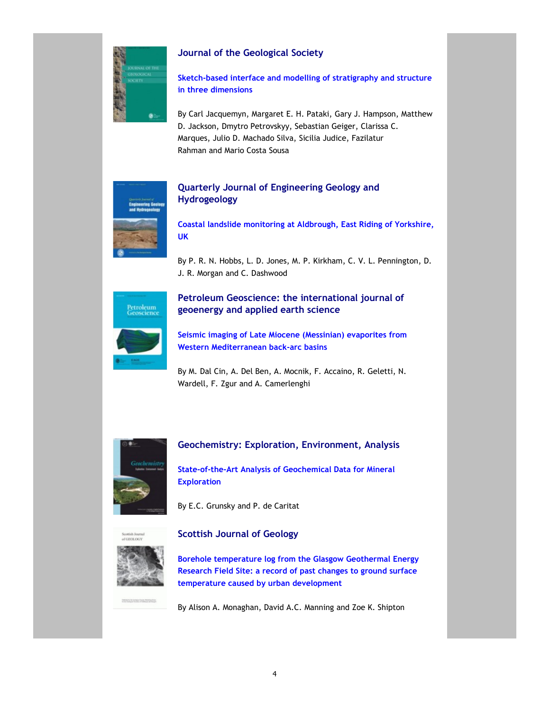

# Journal of the Geological Society

Sketch-based interface and modelling of stratigraphy and structure in three dimensions

By Carl Jacquemyn, Margaret E. H. Pataki, Gary J. Hampson, Matthew D. Jackson, Dmytro Petrovskyy, Sebastian Geiger, Clarissa C. Marques, Julio D. Machado Silva, Sicilia Judice, Fazilatur Rahman and Mario Costa Sousa

# Quarterly Journal of Engineering Geology and Hydrogeology

Coastal landslide monitoring at Aldbrough, East Riding of Yorkshire, UK

By P. R. N. Hobbs, L. D. Jones, M. P. Kirkham, C. V. L. Pennington, D. J. R. Morgan and C. Dashwood



# Petroleum Geoscience: the international journal of geoenergy and applied earth science

Seismic imaging of Late Miocene (Messinian) evaporites from Western Mediterranean back-arc basins

By M. Dal Cin, A. Del Ben, A. Mocnik, F. Accaino, R. Geletti, N. Wardell, F. Zgur and A. Camerlenghi



# Geochemistry: Exploration, Environment, Analysis

State-of-the-Art Analysis of Geochemical Data for Mineral **Exploration** 

By E.C. Grunsky and P. de Caritat



# Scottish Journal of Geology

Borehole temperature log from the Glasgow Geothermal Energy Research Field Site: a record of past changes to ground surface temperature caused by urban development

By Alison A. Monaghan, David A.C. Manning and Zoe K. Shipton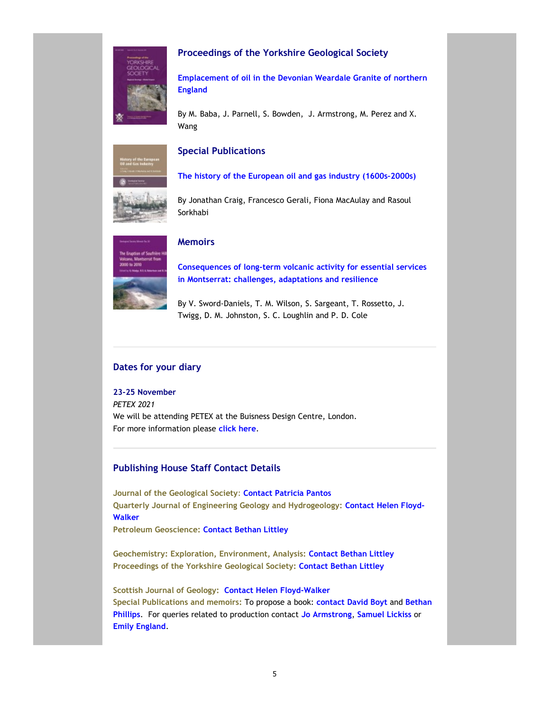

# Proceedings of the Yorkshire Geological Society

Emplacement of oil in the Devonian Weardale Granite of northern England

By M. Baba, J. Parnell, S. Bowden, J. Armstrong, M. Perez and X. Wang



# Special Publications

The history of the European oil and gas industry (1600s–2000s)

By Jonathan Craig, Francesco Gerali, Fiona MacAulay and Rasoul Sorkhabi



# **Memoirs**

Consequences of long-term volcanic activity for essential services in Montserrat: challenges, adaptations and resilience

By V. Sword-Daniels, T. M. Wilson, S. Sargeant, T. Rossetto, J. Twigg, D. M. Johnston, S. C. Loughlin and P. D. Cole

## Dates for your diary

23-25 November

PETEX 2021 We will be attending PETEX at the Buisness Design Centre, London. For more information please click here.

# Publishing House Staff Contact Details

Journal of the Geological Society: Contact Patricia Pantos Quarterly Journal of Engineering Geology and Hydrogeology: Contact Helen Floyd-Walker

Petroleum Geoscience: Contact Bethan Littley

Geochemistry: Exploration, Environment, Analysis: Contact Bethan Littley Proceedings of the Yorkshire Geological Society: Contact Bethan Littley

Scottish Journal of Geology: Contact Helen Floyd-Walker Special Publications and memoirs: To propose a book: contact David Boyt and Bethan Phillips. For queries related to production contact Jo Armstrong, Samuel Lickiss or Emily England.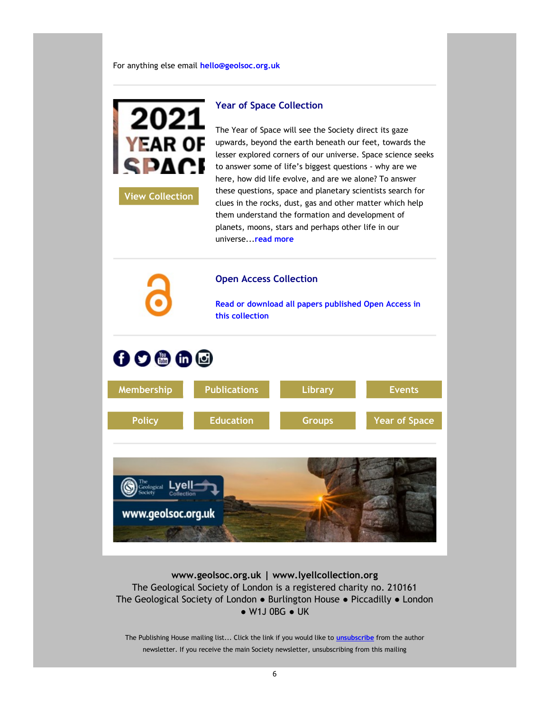For anything else email hello@geolsoc.org.uk



View Collection

The Year of Space will see the Society direct its gaze upwards, beyond the earth beneath our feet, towards the lesser explored corners of our universe. Space science seeks to answer some of life's biggest questions - why are we here, how did life evolve, and are we alone? To answer these questions, space and planetary scientists search for clues in the rocks, dust, gas and other matter which help them understand the formation and development of planets, moons, stars and perhaps other life in our universe...read more



www.geolsoc.org.uk | www.lyellcollection.org The Geological Society of London is a registered charity no. 210161 The Geological Society of London ● Burlington House ● Piccadilly ● London ● W1J 0BG ● UK

The Publishing House mailing list... Click the link if you would like to **unsubscribe** from the author newsletter. If you receive the main Society newsletter, unsubscribing from this mailing